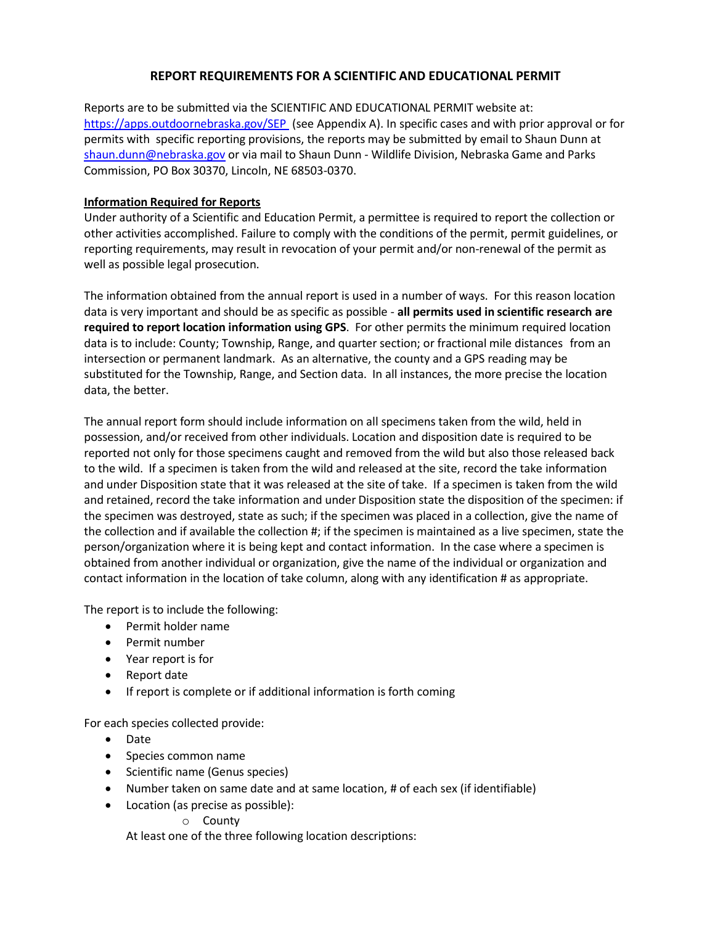### **REPORT REQUIREMENTS FOR A SCIENTIFIC AND EDUCATIONAL PERMIT**

Reports are to be submitted via the SCIENTIFIC AND EDUCATIONAL PERMIT website at: <https://apps.outdoornebraska.gov/SEP> (see Appendix A). In specific cases and with prior approval or for permits with specific reporting provisions, the reports may be submitted by email to Shaun Dunn at [shaun.dunn@nebraska.gov](mailto:shaun.dunn@nebraska.gov) or via mail to Shaun Dunn - Wildlife Division, Nebraska Game and Parks Commission, PO Box 30370, Lincoln, NE 68503-0370.

#### **Information Required for Reports**

Under authority of a Scientific and Education Permit, a permittee is required to report the collection or other activities accomplished. Failure to comply with the conditions of the permit, permit guidelines, or reporting requirements, may result in revocation of your permit and/or non-renewal of the permit as well as possible legal prosecution.

The information obtained from the annual report is used in a number of ways. For this reason location data is very important and should be as specific as possible - **all permits used in scientific research are required to report location information using GPS**. For other permits the minimum required location data is to include: County; Township, Range, and quarter section; or fractional mile distances from an intersection or permanent landmark. As an alternative, the county and a GPS reading may be substituted for the Township, Range, and Section data. In all instances, the more precise the location data, the better.

The annual report form should include information on all specimens taken from the wild, held in possession, and/or received from other individuals. Location and disposition date is required to be reported not only for those specimens caught and removed from the wild but also those released back to the wild. If a specimen is taken from the wild and released at the site, record the take information and under Disposition state that it was released at the site of take. If a specimen is taken from the wild and retained, record the take information and under Disposition state the disposition of the specimen: if the specimen was destroyed, state as such; if the specimen was placed in a collection, give the name of the collection and if available the collection #; if the specimen is maintained as a live specimen, state the person/organization where it is being kept and contact information. In the case where a specimen is obtained from another individual or organization, give the name of the individual or organization and contact information in the location of take column, along with any identification # as appropriate.

The report is to include the following:

- Permit holder name
- Permit number
- Year report is for
- Report date
- If report is complete or if additional information is forth coming

For each species collected provide:

- Date
- Species common name
- Scientific name (Genus species)
- Number taken on same date and at same location, # of each sex (if identifiable)
- Location (as precise as possible):
	- o County

At least one of the three following location descriptions: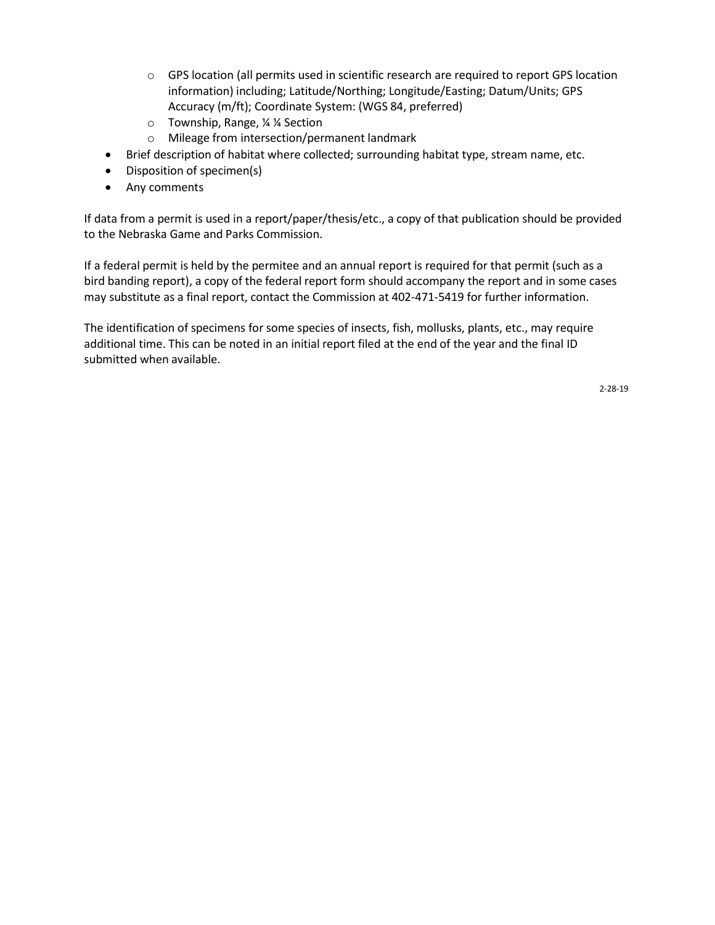- o GPS location (all permits used in scientific research are required to report GPS location information) including; Latitude/Northing; Longitude/Easting; Datum/Units; GPS Accuracy (m/ft); Coordinate System: (WGS 84, preferred)
- o Township, Range, ¼ ¼ Section
- o Mileage from intersection/permanent landmark
- Brief description of habitat where collected; surrounding habitat type, stream name, etc.
- Disposition of specimen(s)
- Any comments

If data from a permit is used in a report/paper/thesis/etc., a copy of that publication should be provided to the Nebraska Game and Parks Commission.

If a federal permit is held by the permitee and an annual report is required for that permit (such as a bird banding report), a copy of the federal report form should accompany the report and in some cases may substitute as a final report, contact the Commission at 402-471-5419 for further information.

The identification of specimens for some species of insects, fish, mollusks, plants, etc., may require additional time. This can be noted in an initial report filed at the end of the year and the final ID submitted when available.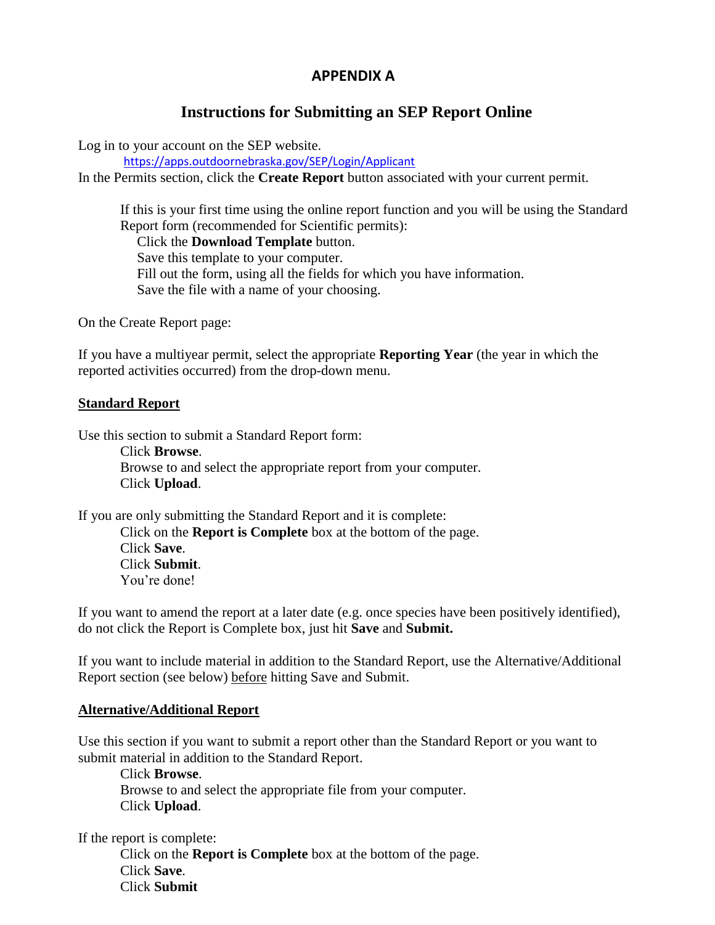## **APPENDIX A**

# **Instructions for Submitting an SEP Report Online**

Log in to your account on the SEP website.

<https://apps.outdoornebraska.gov/SEP/Login/Applicant>

In the Permits section, click the **Create Report** button associated with your current permit.

If this is your first time using the online report function and you will be using the Standard Report form (recommended for Scientific permits): Click the **Download Template** button. Save this template to your computer. Fill out the form, using all the fields for which you have information. Save the file with a name of your choosing.

On the Create Report page:

If you have a multiyear permit, select the appropriate **Reporting Year** (the year in which the reported activities occurred) from the drop-down menu.

### **Standard Report**

Use this section to submit a Standard Report form:

Click **Browse**. Browse to and select the appropriate report from your computer. Click **Upload**.

If you are only submitting the Standard Report and it is complete: Click on the **Report is Complete** box at the bottom of the page.

Click **Save**. Click **Submit**. You're done!

If you want to amend the report at a later date (e.g. once species have been positively identified), do not click the Report is Complete box, just hit **Save** and **Submit.**

If you want to include material in addition to the Standard Report, use the Alternative/Additional Report section (see below) before hitting Save and Submit.

### **Alternative/Additional Report**

Use this section if you want to submit a report other than the Standard Report or you want to submit material in addition to the Standard Report.

Click **Browse**. Browse to and select the appropriate file from your computer. Click **Upload**.

If the report is complete:

Click on the **Report is Complete** box at the bottom of the page. Click **Save**. Click **Submit**